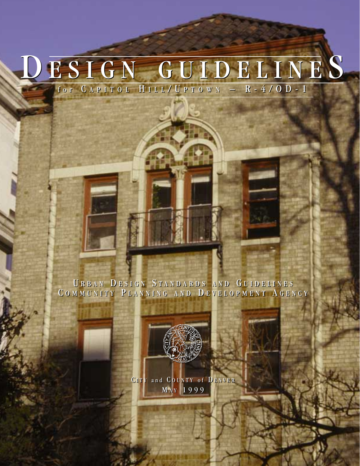# D ESIGN GUIDELINE S D ESIGN GUIDELINE S for C APITOL H ILL / U PTOWN – R-4/OD-1 for C APITOL H ILL / U PTOWN – R-4/OD-1

U RBAN D ESIGN S TANDARDS AND G UIDELINES U RBAN D ESIGN S TANDARDS AND G UIDELINES COMMUNITY PLANNING AND DEVELOPMENT AGENCY



CITY and COUNTY of DENVER M A Y 1999 M A Y 1999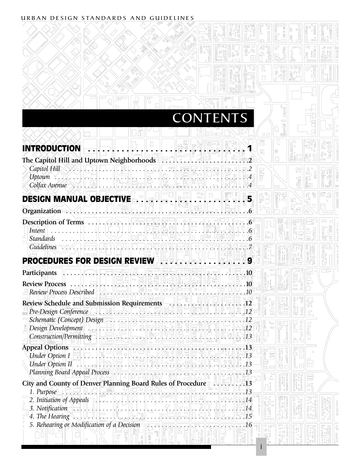#### URBAN DESIGN STANDARDS AND GUIDELINES

|                                                                                                                                                                                                                                                                                                                                                                                                                                                                                                                                              |                                                                                                                                                                           |                                                                          | $\Box$             |                              |                                                                                                  |                         |  |                                                                 |                     |    |                               |     |  |  |
|----------------------------------------------------------------------------------------------------------------------------------------------------------------------------------------------------------------------------------------------------------------------------------------------------------------------------------------------------------------------------------------------------------------------------------------------------------------------------------------------------------------------------------------------|---------------------------------------------------------------------------------------------------------------------------------------------------------------------------|--------------------------------------------------------------------------|--------------------|------------------------------|--------------------------------------------------------------------------------------------------|-------------------------|--|-----------------------------------------------------------------|---------------------|----|-------------------------------|-----|--|--|
|                                                                                                                                                                                                                                                                                                                                                                                                                                                                                                                                              |                                                                                                                                                                           |                                                                          |                    |                              | <b>CONTENTS</b>                                                                                  |                         |  |                                                                 |                     |    |                               |     |  |  |
| <b>INTRODUCTION</b>                                                                                                                                                                                                                                                                                                                                                                                                                                                                                                                          |                                                                                                                                                                           |                                                                          |                    |                              |                                                                                                  |                         |  |                                                                 |                     |    | $C_F$<br>$\boxed{\text{min}}$ |     |  |  |
| The Capitol Hill and Uptown Neighborhoods F                                                                                                                                                                                                                                                                                                                                                                                                                                                                                                  |                                                                                                                                                                           |                                                                          |                    |                              |                                                                                                  |                         |  |                                                                 |                     |    |                               |     |  |  |
| $\textit{Capitol Hill}\n\begin{picture}(10,10) \put(0,0){\vector(0,1){100}} \put(15,0){\vector(0,1){100}} \put(15,0){\vector(0,1){100}} \put(15,0){\vector(0,1){100}} \put(15,0){\vector(0,1){100}} \put(15,0){\vector(0,1){100}} \put(15,0){\vector(0,1){100}} \put(15,0){\vector(0,1){100}} \put(15,0){\vector(0,1){100}} \put(15,0){\vector(0,1){100}} \put(15,0){\vector$                                                                                                                                                                |                                                                                                                                                                           |                                                                          |                    |                              |                                                                                                  |                         |  |                                                                 |                     |    |                               |     |  |  |
|                                                                                                                                                                                                                                                                                                                                                                                                                                                                                                                                              |                                                                                                                                                                           |                                                                          |                    |                              | $\left  \begin{smallmatrix} \mathbb{S} & \square \\ \square & \square \end{smallmatrix} \right $ |                         |  |                                                                 |                     | 5. |                               |     |  |  |
| Organization                                                                                                                                                                                                                                                                                                                                                                                                                                                                                                                                 | $\lfloor \cdot \rfloor$ . $\lfloor \cdot \rfloor$ , $\lceil \cdot \rceil$ , $\lceil \cdot \rceil$ , $\lceil \cdot \rceil$ , $\lceil \cdot \rceil$ , $\lceil \cdot \rceil$ |                                                                          |                    |                              |                                                                                                  |                         |  |                                                                 |                     |    |                               |     |  |  |
| Description of Terms<br>Intent<br><b>Standards</b>                                                                                                                                                                                                                                                                                                                                                                                                                                                                                           |                                                                                                                                                                           |                                                                          | <u> , E. E. F.</u> |                              |                                                                                                  |                         |  |                                                                 |                     |    |                               |     |  |  |
| Guidelines<br>PROCEDURES FOR DESIGN REVIEW IR FIRE LAST                                                                                                                                                                                                                                                                                                                                                                                                                                                                                      |                                                                                                                                                                           |                                                                          |                    |                              |                                                                                                  |                         |  |                                                                 |                     |    |                               |     |  |  |
| Participants                                                                                                                                                                                                                                                                                                                                                                                                                                                                                                                                 |                                                                                                                                                                           |                                                                          |                    |                              |                                                                                                  |                         |  |                                                                 | $.10\,$             |    |                               |     |  |  |
| <b>Review Process</b><br>Review Process Described                                                                                                                                                                                                                                                                                                                                                                                                                                                                                            |                                                                                                                                                                           | <u> 그 미드리드 정(한국) 여러 [주국] [주국] _ 그</u><br>- 그러드 - 그러스 정(한국) [주국] [주국] _ 그 |                    |                              |                                                                                                  |                         |  | $\left\Vert \ldots\right\Vert$ , $\left\Vert \ldots\right\Vert$ | $\frac{1}{2}$ . .10 |    |                               | 000 |  |  |
| Pre-Design Conference F. Hellast Lagle, Ele Ele Ele Ele Ele Ele Ele Ele 2                                                                                                                                                                                                                                                                                                                                                                                                                                                                    |                                                                                                                                                                           |                                                                          |                    |                              |                                                                                                  |                         |  |                                                                 |                     |    |                               |     |  |  |
| $\textit{Construction/Permitting} \quad \textit{--} \quad \textit{--} \quad \textit{--} \quad \textit{--} \quad \textit{--} \quad \textit{--} \quad \textit{--} \quad \textit{--} \quad \textit{--} \quad \textit{--} \quad \textit{--} \quad \textit{--} \quad \textit{--} \quad \textit{--} \quad \textit{--} \quad \textit{--} \quad \textit{--} \quad \textit{--} \quad \textit{--} \quad \textit{--} \quad \textit{--} \quad \textit{--} \quad \textit{--} \quad \textit{--} \quad \textit{--} \quad \textit{--} \quad$                 |                                                                                                                                                                           |                                                                          |                    |                              |                                                                                                  |                         |  |                                                                 |                     |    |                               |     |  |  |
| Appeal Options<br>$\text{Under Option II} \quad \dots \quad \text{Supp} \quad \text{Supp} \quad \text{Supp} \quad \text{Supp} \quad \text{Supp} \quad \text{Supp} \quad \text{Supp} \quad \text{Supp} \quad \text{Supp} \quad \text{Supp} \quad \text{Supp} \quad \text{Supp} \quad \text{Supp} \quad \text{Supp} \quad \text{Supp} \quad \text{Supp} \quad \text{Supp} \quad \text{Supp} \quad \text{Supp} \quad \text{Supp} \quad \text{Supp} \quad \text{Supp} \quad \text{Supp} \quad \text{Supp} \quad \text{Supp} \quad \text{Supp} \$ |                                                                                                                                                                           |                                                                          |                    |                              |                                                                                                  |                         |  |                                                                 |                     |    |                               |     |  |  |
| Planning Board Appeal Process<br>City and County of Denver Planning Board Rules of Procedure<br><u> 드 니</u> , <u>또 로</u>                                                                                                                                                                                                                                                                                                                                                                                                                     |                                                                                                                                                                           |                                                                          |                    | $\overline{\text{minimize}}$ |                                                                                                  |                         |  |                                                                 |                     |    |                               |     |  |  |
| 1. Purpose<br>2. Initiation of Appeals<br>3. Notification<br>4. The Hearing<br>$\begin{bmatrix} 1 & 0 & 0 \\ 0 & 1 & 0 \\ 0 & 0 & 0 \end{bmatrix}$<br>$\begin{bmatrix} 1 & 0 & 0 \\ 0 & 1 & 0 \\ 0 & 0 & 0 \end{bmatrix}$<br>$\begin{bmatrix} 1 & 0 & 0 \\ 0 & 1 & 0 \\ 0 & 0 & 0 \end{bmatrix}$<br>$\begin{bmatrix} 1 & 0 & 0 \\ 0 & 1 & 0$                                                                                                                                                                                                 |                                                                                                                                                                           |                                                                          |                    |                              |                                                                                                  |                         |  |                                                                 |                     |    |                               |     |  |  |
| 5. Rehearing or Modification of a Decision                                                                                                                                                                                                                                                                                                                                                                                                                                                                                                   |                                                                                                                                                                           |                                                                          |                    |                              |                                                                                                  | <u>. 10 a a a a a d</u> |  |                                                                 |                     |    |                               |     |  |  |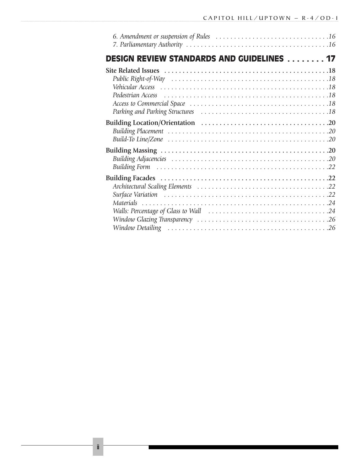| <b>DESIGN REVIEW STANDARDS AND GUIDELINES  17</b>                                                                                                                                                                              |  |
|--------------------------------------------------------------------------------------------------------------------------------------------------------------------------------------------------------------------------------|--|
|                                                                                                                                                                                                                                |  |
|                                                                                                                                                                                                                                |  |
|                                                                                                                                                                                                                                |  |
| Pedestrian Access (also contained a series and all also contained a series and all also contained a series and $18$                                                                                                            |  |
|                                                                                                                                                                                                                                |  |
| Parking and Parking Structures (all contains and all contains and all all contains and Parking Structures (all contains and all contains and Parking Structures (all contains and all contains and all contains and all contai |  |
|                                                                                                                                                                                                                                |  |
|                                                                                                                                                                                                                                |  |
|                                                                                                                                                                                                                                |  |
|                                                                                                                                                                                                                                |  |
|                                                                                                                                                                                                                                |  |
|                                                                                                                                                                                                                                |  |
|                                                                                                                                                                                                                                |  |
|                                                                                                                                                                                                                                |  |
|                                                                                                                                                                                                                                |  |
|                                                                                                                                                                                                                                |  |
|                                                                                                                                                                                                                                |  |
|                                                                                                                                                                                                                                |  |
|                                                                                                                                                                                                                                |  |
|                                                                                                                                                                                                                                |  |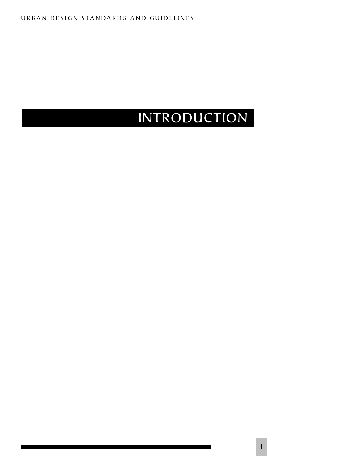# INTRODUCTION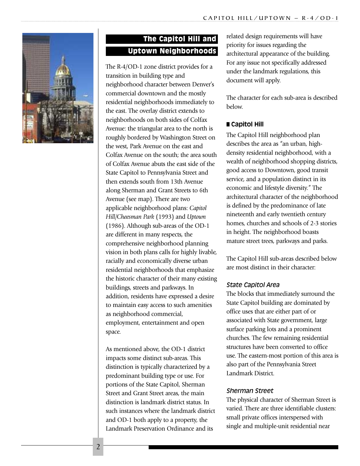

# The Capitol Hill and Uptown Neighborhoods

The R-4/OD-1 zone district provides for a transition in building type and neighborhood character between Denver's commercial downtown and the mostly residential neighborhoods immediately to the east. The overlay district extends to neighborhoods on both sides of Colfax Avenue: the triangular area to the north is roughly bordered by Washington Street on the west, Park Avenue on the east and Colfax Avenue on the south; the area south of Colfax Avenue abuts the east side of the State Capitol to Pennsylvania Street and then extends south from 13th Avenue along Sherman and Grant Streets to 6th Avenue (see map). There are two applicable neighborhood plans: *Capitol Hill/Cheesman Park* (1993) and *Uptown* (1986). Although sub-areas of the OD-1 are different in many respects, the comprehensive neighborhood planning vision in both plans calls for highly livable, racially and economically diverse urban residential neighborhoods that emphasize the historic character of their many existing buildings, streets and parkways. In addition, residents have expressed a desire to maintain easy access to such amenities as neighborhood commercial, employment, entertainment and open space.

As mentioned above, the OD-1 district impacts some distinct sub-areas. This distinction is typically characterized by a predominant building type or use. For portions of the State Capitol, Sherman Street and Grant Street areas, the main distinction is landmark district status. In such instances where the landmark district and OD-1 both apply to a property, the Landmark Preservation Ordinance and its

related design requirements will have priority for issues regarding the architectural appearance of the building. For any issue not specifically addressed under the landmark regulations, this document will apply.

The character for each sub-area is described below.

#### ■ **Capitol Hill**

The Capitol Hill neighborhood plan describes the area as "an urban, highdensity residential neighborhood, with a wealth of neighborhood shopping districts, good access to Downtown, good transit service, and a population distinct in its economic and lifestyle diversity." The architectural character of the neighborhood is defined by the predominance of late nineteenth and early twentieth century homes, churches and schools of 2-3 stories in height. The neighborhood boasts mature street trees, parkways and parks.

The Capitol Hill sub-areas described below are most distinct in their character:

#### *State Capitol Area*

The blocks that immediately surround the State Capitol building are dominated by office uses that are either part of or associated with State government, large surface parking lots and a prominent churches. The few remaining residential structures have been converted to office use. The eastern-most portion of this area is also part of the Pennsylvania Street Landmark District.

#### *Sherman Street*

The physical character of Sherman Street is varied. There are three identifiable clusters: small private offices interspersed with single and multiple-unit residential near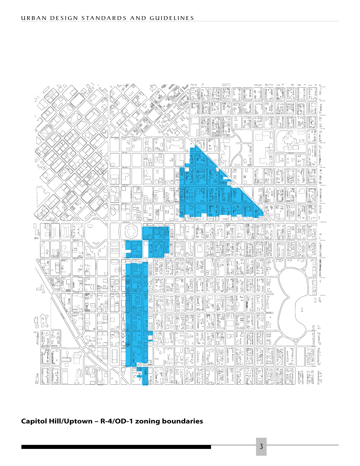

#### **Capitol Hill/Uptown – R-4/OD-1 zoning boundaries**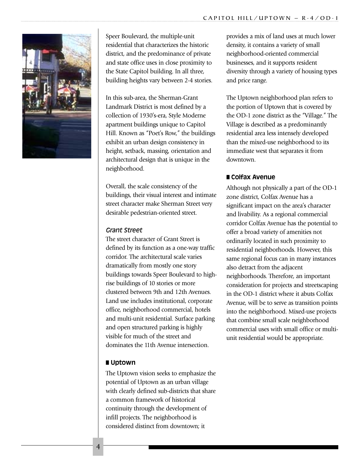

Speer Boulevard, the multiple-unit residential that characterizes the historic district, and the predominance of private and state office uses in close proximity to the State Capitol building. In all three, building heights vary between 2-4 stories.

In this sub-area, the Sherman-Grant Landmark District is most defined by a collection of 1930's-era, Style Moderne apartment buildings unique to Capitol Hill. Known as "Poet's Row," the buildings exhibit an urban design consistency in height, setback, massing, orientation and architectural design that is unique in the neighborhood.

Overall, the scale consistency of the buildings, their visual interest and intimate street character make Sherman Street very desirable pedestrian-oriented street.

#### *Grant Street*

The street character of Grant Street is defined by its function as a one-way traffic corridor. The architectural scale varies dramatically from mostly one story buildings towards Speer Boulevard to highrise buildings of 10 stories or more clustered between 9th and 12th Avenues. Land use includes institutional, corporate office, neighborhood commercial, hotels and multi-unit residential. Surface parking and open structured parking is highly visible for much of the street and dominates the 11th Avenue intersection.

#### ■ **Uptown**

The Uptown vision seeks to emphasize the potential of Uptown as an urban village with clearly defined sub-districts that share a common framework of historical continuity through the development of infill projects. The neighborhood is considered distinct from downtown; it

provides a mix of land uses at much lower density, it contains a variety of small neighborhood-oriented commercial businesses, and it supports resident diversity through a variety of housing types and price range.

The Uptown neighborhood plan refers to the portion of Uptown that is covered by the OD-1 zone district as the "Village." The Village is described as a predominantly residential area less intensely developed than the mixed-use neighborhood to its immediate west that separates it from downtown.

#### ■ **Colfax Avenue**

Although not physically a part of the OD-1 zone district, Colfax Avenue has a significant impact on the area's character and livability. As a regional commercial corridor Colfax Avenue has the potential to offer a broad variety of amenities not ordinarily located in such proximity to residential neighborhoods. However, this same regional focus can in many instances also detract from the adjacent neighborhoods. Therefore, an important consideration for projects and streetscaping in the OD-1 district where it abuts Colfax Avenue, will be to serve as transition points into the neighborhood. Mixed-use projects that combine small scale neighborhood commercial uses with small office or multiunit residential would be appropriate.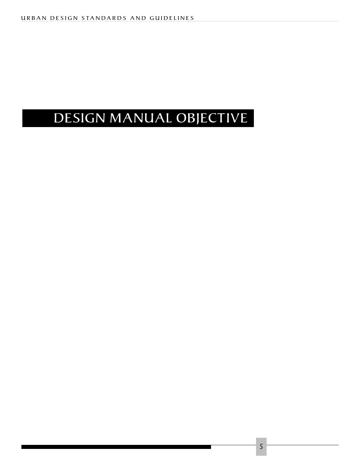# DESIGN MANUAL OBJECTIVE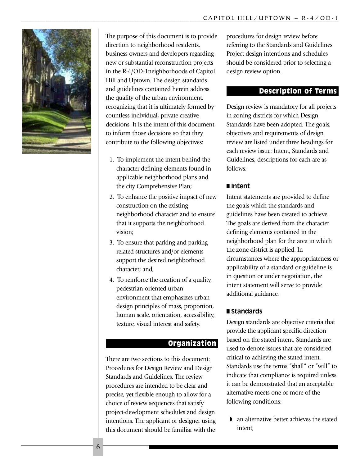

The purpose of this document is to provide direction to neighborhood residents, business owners and developers regarding new or substantial reconstruction projects in the R-4/OD-1neighborhoods of Capitol Hill and Uptown. The design standards and guidelines contained herein address the quality of the urban environment, recognizing that it is ultimately formed by countless individual, private creative decisions. It is the intent of this document to inform those decisions so that they contribute to the following objectives:

- 1. To implement the intent behind the character defining elements found in applicable neighborhood plans and the city Comprehensive Plan;
- 2. To enhance the positive impact of new construction on the existing neighborhood character and to ensure that it supports the neighborhood vision;
- 3. To ensure that parking and parking related structures and/or elements support the desired neighborhood character; and,
- 4. To reinforce the creation of a quality, pedestrian-oriented urban environment that emphasizes urban design principles of mass, proportion, human scale, orientation, accessibility, texture, visual interest and safety.

#### **Organization**

There are two sections to this document: Procedures for Design Review and Design Standards and Guidelines. The review procedures are intended to be clear and precise, yet flexible enough to allow for a choice of review sequences that satisfy project-development schedules and design intentions. The applicant or designer using this document should be familiar with the

procedures for design review before referring to the Standards and Guidelines. Project design intentions and schedules should be considered prior to selecting a design review option.

#### Description of Terms

Design review is mandatory for all projects in zoning districts for which Design Standards have been adopted. The goals, objectives and requirements of design review are listed under three headings for each review issue: Intent, Standards and Guidelines; descriptions for each are as follows:

#### ■ **Intent**

Intent statements are provided to define the goals which the standards and guidelines have been created to achieve. The goals are derived from the character defining elements contained in the neighborhood plan for the area in which the zone district is applied. In circumstances where the appropriateness or applicability of a standard or guideline is in question or under negotiation, the intent statement will serve to provide additional guidance.

#### ■ **Standards**

Design standards are objective criteria that provide the applicant specific direction based on the stated intent. Standards are used to denote issues that are considered critical to achieving the stated intent. Standards use the terms "shall" or "will" to indicate that compliance is required unless it can be demonstrated that an acceptable alternative meets one or more of the following conditions:

◗ an alternative better achieves the stated intent;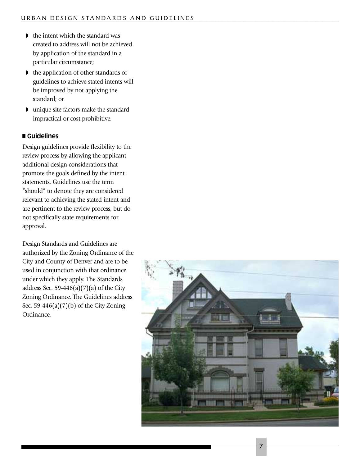- ◗ the intent which the standard was created to address will not be achieved by application of the standard in a particular circumstance;
- ◗ the application of other standards or guidelines to achieve stated intents will be improved by not applying the standard; or
- ◗ unique site factors make the standard impractical or cost prohibitive.

#### ■ **Guidelines**

Design guidelines provide flexibility to the review process by allowing the applicant additional design considerations that promote the goals defined by the intent statements. Guidelines use the term "should" to denote they are considered relevant to achieving the stated intent and are pertinent to the review process, but do not specifically state requirements for approval.

Design Standards and Guidelines are authorized by the Zoning Ordinance of the City and County of Denver and are to be used in conjunction with that ordinance under which they apply. The Standards address Sec. 59-446(a)(7)(a) of the City Zoning Ordinance. The Guidelines address Sec. 59-446(a) $(7)(b)$  of the City Zoning Ordinance.

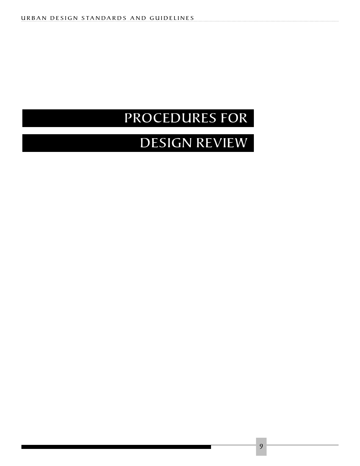# PROCEDURES FOR

# DESIGN REVIEW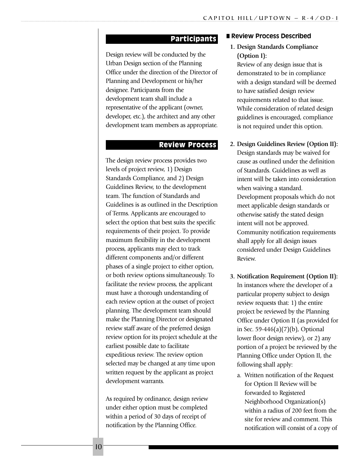#### Participants

Design review will be conducted by the Urban Design section of the Planning Office under the direction of the Director of Planning and Development or his/her designee. Participants from the development team shall include a representative of the applicant (owner, developer, etc.), the architect and any other development team members as appropriate.

#### Review Process

The design review process provides two levels of project review, 1) Design Standards Compliance, and 2) Design Guidelines Review, to the development team. The function of Standards and Guidelines is as outlined in the Description of Terms. Applicants are encouraged to select the option that best suits the specific requirements of their project. To provide maximum flexibility in the development process, applicants may elect to track different components and/or different phases of a single project to either option, or both review options simultaneously. To facilitate the review process, the applicant must have a thorough understanding of each review option at the outset of project planning. The development team should make the Planning Director or designated review staff aware of the preferred design review option for its project schedule at the earliest possible date to facilitate expeditious review. The review option selected may be changed at any time upon written request by the applicant as project development warrants.

As required by ordinance, design review under either option must be completed within a period of 30 days of receipt of notification by the Planning Office.

#### ■ **Review Process Described**

#### **1. Design Standards Compliance (Option I):**

Review of any design issue that is demonstrated to be in compliance with a design standard will be deemed to have satisfied design review requirements related to that issue. While consideration of related design guidelines is encouraged, compliance is not required under this option.

- **2. Design Guidelines Review (Option II):** Design standards may be waived for cause as outlined under the definition of Standards. Guidelines as well as intent will be taken into consideration when waiving a standard. Development proposals which do not meet applicable design standards or otherwise satisfy the stated design intent will not be approved. Community notification requirements shall apply for all design issues considered under Design Guidelines Review.
- **3. Notification Requirement (Option II):** In instances where the developer of a particular property subject to design review requests that: 1) the entire project be reviewed by the Planning Office under Option II (as provided for in Sec. 59-446(a)(7)(b), Optional lower floor design review), or 2) any portion of a project be reviewed by the Planning Office under Option II, the following shall apply:
	- a. Written notification of the Request for Option II Review will be forwarded to Registered Neighborhood Organization(s) within a radius of 200 feet from the site for review and comment. This notification will consist of a copy of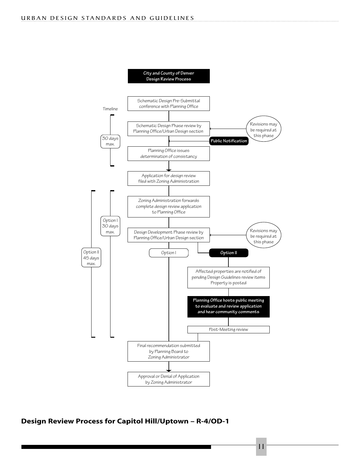

**Design Review Process for Capitol Hill/Uptown – R-4/OD-1**

11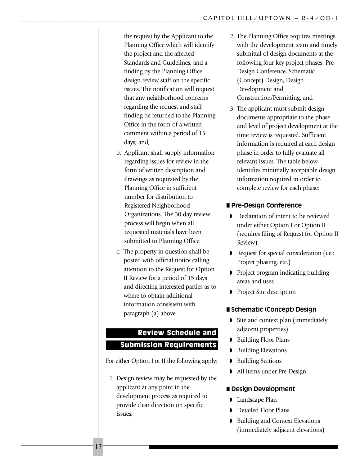the request by the Applicant to the Planning Office which will identify the project and the affected Standards and Guidelines, and a finding by the Planning Office design review staff on the specific issues. The notification will request that any neighborhood concerns regarding the request and staff finding be returned to the Planning Office in the form of a written comment within a period of 15 days; and,

- b. Applicant shall supply information regarding issues for review in the form of written description and drawings as requested by the Planning Office in sufficient number for distribution to Registered Neighborhood Organizations. The 30 day review process will begin when all requested materials have been submitted to Planning Office.
- c. The property in question shall be posted with official notice calling attention to the Request for Option II Review for a period of 15 days and directing interested parties as to where to obtain additional information consistent with paragraph (a) above.

# Review Schedule and Submission Requirements

For either Option I or II the following apply:

1. Design review may be requested by the applicant at any point in the development process as required to provide clear direction on specific issues,

- 2. The Planning Office requires meetings with the development team and timely submittal of design documents at the following four key project phases: Pre-Design Conference, Schematic (Concept) Design, Design Development and Construction/Permitting, and
- 3. The applicant must submit design documents appropriate to the phase and level of project development at the time review is requested. Sufficient information is required at each design phase in order to fully evaluate all relevant issues. The table below identifies minimally acceptable design information required in order to complete review for each phase:

### ■ **Pre-Design Conference**

- ◗ Declaration of intent to be reviewed under either Option I or Option II (requires filing of Request for Option II Review).
- ◗ Request for special consideration (i.e.: Project phasing, etc.)
- ◗ Project program indicating building areas and uses
- ◗ Project Site description

### ■ **Schematic (Concept) Design**

- ◗ Site and context plan (immediately adjacent properties)
- ◗ Building Floor Plans
- ◗ Building Elevations
- ◗ Building Sections
- ◗ All items under Pre-Design

### ■ **Design Development**

- ◗ Landscape Plan
- ◗ Detailed Floor Plans
- ◗ Building and Context Elevations (immediately adjacent elevations)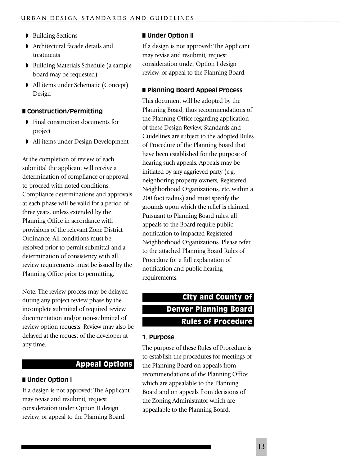- ◗ Building Sections
- ◗ Architectural facade details and treatments
- ◗ Building Materials Schedule (a sample board may be requested)
- ◗ All items under Schematic (Concept) Design

#### ■ **Construction/Permitting**

- ◗ Final construction documents for project
- ◗ All items under Design Development

At the completion of review of each submittal the applicant will receive a determination of compliance or approval to proceed with noted conditions. Compliance determinations and approvals at each phase will be valid for a period of three years, unless extended by the Planning Office in accordance with provisions of the relevant Zone District Ordinance. All conditions must be resolved prior to permit submittal and a determination of consistency with all review requirements must be issued by the Planning Office prior to permitting.

Note: The review process may be delayed during any project review phase by the incomplete submittal of required review documentation and/or non-submittal of review option requests. Review may also be delayed at the request of the developer at any time.

#### Appeal Options

#### ■ **Under Option I**

If a design is not approved: The Applicant may revise and resubmit, request consideration under Option II design review, or appeal to the Planning Board.

#### ■ **Under Option II**

If a design is not approved: The Applicant may revise and resubmit, request consideration under Option I design review, or appeal to the Planning Board.

### ■ **Planning Board Appeal Process**

This document will be adopted by the Planning Board, thus recommendations of the Planning Office regarding application of these Design Review, Standards and Guidelines are subject to the adopted Rules of Procedure of the Planning Board that have been established for the purpose of hearing such appeals. Appeals may be initiated by any aggrieved party (e.g. neighboring property owners, Registered Neighborhood Organizations, etc. within a 200 foot radius) and must specify the grounds upon which the relief is claimed. Pursuant to Planning Board rules, all appeals to the Board require public notification to impacted Registered Neighborhood Organizations. Please refer to the attached Planning Board Rules of Procedure for a full explanation of notification and public hearing requirements.

# City and County of Denver Planning Board Rules of Procedure

#### **1. Purpose**

The purpose of these Rules of Procedure is to establish the procedures for meetings of the Planning Board on appeals from recommendations of the Planning Office which are appealable to the Planning Board and on appeals from decisions of the Zoning Administrator which are appealable to the Planning Board.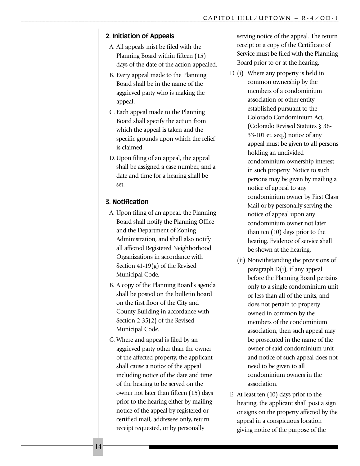#### **2. Initiation of Appeals**

- A. All appeals mist be filed with the Planning Board within fifteen (15) days of the date of the action appealed.
- B. Every appeal made to the Planning Board shall be in the name of the aggrieved party who is making the appeal.
- C. Each appeal made to the Planning Board shall specify the action from which the appeal is taken and the specific grounds upon which the relief is claimed.
- D.Upon filing of an appeal, the appeal shall be assigned a case number, and a date and time for a hearing shall be set.

#### **3. Notification**

- A. Upon filing of an appeal, the Planning Board shall notify the Planning Office and the Department of Zoning Administration, and shall also notify all affected Registered Neighborhood Organizations in accordance with Section 41-19(g) of the Revised Municipal Code.
- B. A copy of the Planning Board's agenda shall be posted on the bulletin board on the first floor of the City and County Building in accordance with Section 2-35(2) of the Revised Municipal Code.
- C. Where and appeal is filed by an aggrieved party other than the owner of the affected property, the applicant shall cause a notice of the appeal including notice of the date and time of the hearing to be served on the owner not later than fifteen (15) days prior to the hearing either by mailing notice of the appeal by registered or certified mail, addressee only, return receipt requested, or by personally

serving notice of the appeal. The return receipt or a copy of the Certificate of Service must be filed with the Planning Board prior to or at the hearing.

- D (i) Where any property is held in common ownership by the members of a condominium association or other entity established pursuant to the Colorado Condominium Act, (Colorado Revised Statutes § 38- 33-101 et. seq.) notice of any appeal must be given to all persons holding an undivided condominium ownership interest in such property. Notice to such persons may be given by mailing a notice of appeal to any condominium owner by First Class Mail or by personally serving the notice of appeal upon any condominium owner not later than ten (10) days prior to the hearing. Evidence of service shall be shown at the hearing.
	- (ii) Notwithstanding the provisions of paragraph D(i), if any appeal before the Planning Board pertains only to a single condominium unit or less than all of the units, and does not pertain to property owned in common by the members of the condominium association, then such appeal may be prosecuted in the name of the owner of said condominium unit and notice of such appeal does not need to be given to all condominium owners in the association.
- E. At least ten (10) days prior to the hearing, the applicant shall post a sign or signs on the property affected by the appeal in a conspicuous location giving notice of the purpose of the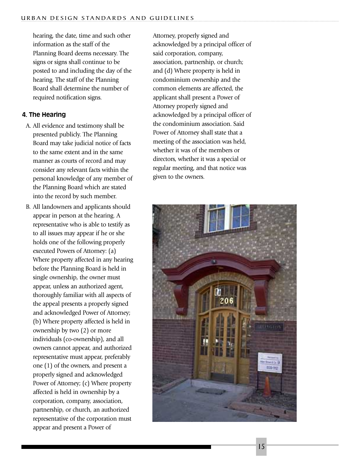hearing, the date, time and such other information as the staff of the Planning Board deems necessary. The signs or signs shall continue to be posted to and including the day of the hearing. The staff of the Planning Board shall determine the number of required notification signs.

#### **4. The Hearing**

- A. All evidence and testimony shall be presented publicly. The Planning Board may take judicial notice of facts to the same extent and in the same manner as courts of record and may consider any relevant facts within the personal knowledge of any member of the Planning Board which are stated into the record by such member.
- B. All landowners and applicants should appear in person at the hearing. A representative who is able to testify as to all issues may appear if he or she holds one of the following properly executed Powers of Attorney: (a) Where property affected in any hearing before the Planning Board is held in single ownership, the owner must appear, unless an authorized agent, thoroughly familiar with all aspects of the appeal presents a properly signed and acknowledged Power of Attorney; (b) Where property affected is held in ownership by two (2) or more individuals (co-ownership), and all owners cannot appear, and authorized representative must appear, preferably one (1) of the owners, and present a properly signed and acknowledged Power of Attorney; (c) Where property affected is held in ownership by a corporation, company, association, partnership, or church, an authorized representative of the corporation must appear and present a Power of

Attorney, properly signed and acknowledged by a principal officer of said corporation, company, association, partnership, or church; and (d) Where property is held in condominium ownership and the common elements are affected, the applicant shall present a Power of Attorney properly signed and acknowledged by a principal officer of the condominium association. Said Power of Attorney shall state that a meeting of the association was held, whether it was of the members or directors, whether it was a special or regular meeting, and that notice was given to the owners.

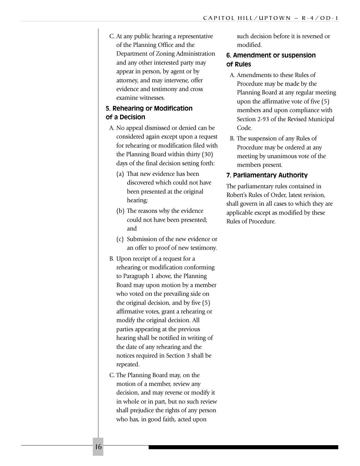C. At any public hearing a representative of the Planning Office and the Department of Zoning Administration and any other interested party may appear in person, by agent or by attorney, and may intervene, offer evidence and testimony and cross examine witnesses.

### **5. Rehearing or Modification of a Decision**

- A. No appeal dismissed or denied can be considered again except upon a request for rehearing or modification filed with the Planning Board within thirty (30) days of the final decision setting forth:
	- (a) That new evidence has been discovered which could not have been presented at the original hearing;
	- (b) The reasons why the evidence could not have been presented; and
	- (c) Submission of the new evidence or an offer to proof of new testimony.
- B. Upon receipt of a request for a rehearing or modification conforming to Paragraph 1 above, the Planning Board may upon motion by a member who voted on the prevailing side on the original decision, and by five (5) affirmative votes, grant a rehearing or modify the original decision. All parties appearing at the previous hearing shall be notified in writing of the date of any rehearing and the notices required in Section 3 shall be repeated.
- C. The Planning Board may, on the motion of a member, review any decision, and may reverse or modify it in whole or in part, but no such review shall prejudice the rights of any person who has, in good faith, acted upon

such decision before it is reversed or modified.

### **6. Amendment or suspension of Rules**

- A. Amendments to these Rules of Procedure may be made by the Planning Board at any regular meeting upon the affirmative vote of five (5) members and upon compliance with Section 2-93 of the Revised Municipal Code.
- B. The suspension of any Rules of Procedure may be ordered at any meeting by unanimous vote of the members present.

#### **7. Parliamentary Authority**

The parliamentary rules contained in Robert's Rules of Order, latest revision, shall govern in all cases to which they are applicable except as modified by these Rules of Procedure.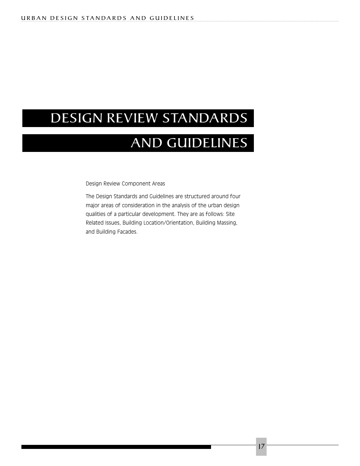# DESIGN REVIEW STANDARDS

# AND GUIDELINES

Design Review Component Areas

The Design Standards and Guidelines are structured around four major areas of consideration in the analysis of the urban design qualities of a particular development. They are as follows: Site Related Issues, Building Location/Orientation, Building Massing, and Building Facades.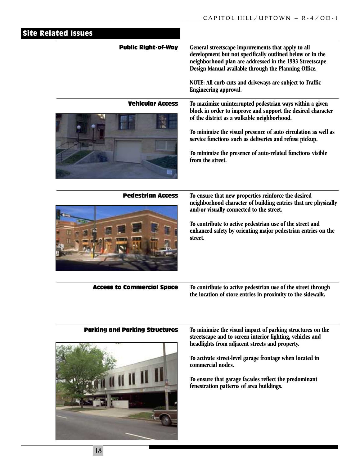| <b>Site Related Issues</b>            |                                                                                                                                                                                                                                                                                                                                                                                       |
|---------------------------------------|---------------------------------------------------------------------------------------------------------------------------------------------------------------------------------------------------------------------------------------------------------------------------------------------------------------------------------------------------------------------------------------|
| <b>Public Right-of-Way</b>            | General streetscape improvements that apply to all<br>development but not specifically outlined below or in the<br>neighborhood plan are addressed in the 1993 Streetscape<br>Design Manual available through the Planning Office.<br>NOTE: All curb cuts and driveways are subject to Traffic<br>Engineering approval.                                                               |
| <b>Vehicular Access</b>               | To maximize uninterrupted pedestrian ways within a given<br>block in order to improve and support the desired character<br>of the district as a walkable neighborhood.<br>To minimize the visual presence of auto circulation as well as<br>service functions such as deliveries and refuse pickup.<br>To minimize the presence of auto-related functions visible<br>from the street. |
| <b>Pedestrian Access</b>              | To ensure that new properties reinforce the desired<br>neighborhood character of building entries that are physically<br>and/or visually connected to the street.<br>To contribute to active pedestrian use of the street and<br>enhanced safety by orienting major pedestrian entries on the<br>street.                                                                              |
| <b>Access to Commercial Space</b>     | To contribute to active pedestrian use of the street through<br>the location of store entries in proximity to the sidewalk.                                                                                                                                                                                                                                                           |
| <b>Parking and Parking Structures</b> | To minimize the visual impact of parking structures on the<br>streetscape and to screen interior lighting, vehicles and<br>headlights from adjacent streets and property.<br>To activate street-level garage frontage when located in<br>commercial nodes.<br>To ensure that garage facades reflect the predominant<br>fenestration patterns of area buildings.                       |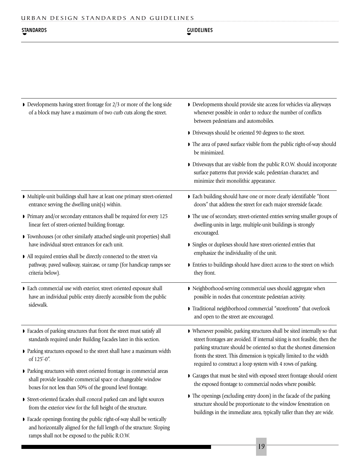ramps shall not be exposed to the public R.O.W.

#### STANDARDS GUIDELINES ◗ **STANDARDS**

| $\triangleright$ Developments having street frontage for 2/3 or more of the long side<br>of a block may have a maximum of two curb cuts along the street.                                           | Developments should provide site access for vehicles via alleyways<br>whenever possible in order to reduce the number of conflicts<br>between pedestrians and automobiles.<br>• Driveways should be oriented 90 degrees to the street.                                                                                                                               |  |  |  |  |  |
|-----------------------------------------------------------------------------------------------------------------------------------------------------------------------------------------------------|----------------------------------------------------------------------------------------------------------------------------------------------------------------------------------------------------------------------------------------------------------------------------------------------------------------------------------------------------------------------|--|--|--|--|--|
|                                                                                                                                                                                                     |                                                                                                                                                                                                                                                                                                                                                                      |  |  |  |  |  |
|                                                                                                                                                                                                     | The area of paved surface visible from the public right-of-way should<br>be minimized.                                                                                                                                                                                                                                                                               |  |  |  |  |  |
|                                                                                                                                                                                                     | • Driveways that are visible from the public R.O.W. should incorporate<br>surface patterns that provide scale, pedestrian character, and<br>minimize their monolithic appearance.                                                                                                                                                                                    |  |  |  |  |  |
| Multiple-unit buildings shall have at least one primary street-oriented<br>entrance serving the dwelling unit(s) within.                                                                            | Each building should have one or more clearly identifiable "front<br>doors" that address the street for each major streetside facade.                                                                                                                                                                                                                                |  |  |  |  |  |
| Primary and/or secondary entrances shall be required for every 125<br>linear feet of street-oriented building frontage.                                                                             | The use of secondary, street-oriented entries serving smaller groups of<br>dwelling-units in large, multiple-unit buildings is strongly<br>encouraged.<br>Singles or duplexes should have street-oriented entries that                                                                                                                                               |  |  |  |  |  |
| Townhouses (or other similarly attached single-unit properties) shall<br>have individual street entrances for each unit.                                                                            |                                                                                                                                                                                                                                                                                                                                                                      |  |  |  |  |  |
| All required entries shall be directly connected to the street via                                                                                                                                  | emphasize the individuality of the unit.                                                                                                                                                                                                                                                                                                                             |  |  |  |  |  |
| pathway, paved walkway, staircase, or ramp (for handicap ramps see<br>criteria below).                                                                                                              | Entries to buildings should have direct access to the street on which<br>they front.                                                                                                                                                                                                                                                                                 |  |  |  |  |  |
| • Each commercial use with exterior, street oriented exposure shall<br>have an individual public entry directly accessible from the public                                                          | Reighborhood-serving commercial uses should aggregate when<br>possible in nodes that concentrate pedestrian activity.                                                                                                                                                                                                                                                |  |  |  |  |  |
| sidewalk.                                                                                                                                                                                           | Traditional neighborhood commercial "storefronts" that overlook<br>and open to the street are encouraged.                                                                                                                                                                                                                                                            |  |  |  |  |  |
| Facades of parking structures that front the street must satisfy all<br>standards required under Building Facades later in this section.                                                            | • Whenever possible, parking structures shall be sited internally so that<br>street frontages are avoided. If internal siting is not feasible, then the<br>parking structure should be oriented so that the shortest dimension<br>fronts the street. This dimension is typically limited to the width<br>required to construct a loop system with 4 rows of parking. |  |  |  |  |  |
| • Parking structures exposed to the street shall have a maximum width<br>of 125'-0".                                                                                                                |                                                                                                                                                                                                                                                                                                                                                                      |  |  |  |  |  |
| • Parking structures with street oriented frontage in commercial areas<br>shall provide leasable commercial space or changeable window<br>boxes for not less than 50% of the ground level frontage. | Garages that must be sited with exposed street frontage should orient<br>the exposed frontage to commercial nodes where possible.                                                                                                                                                                                                                                    |  |  |  |  |  |
| Street-oriented facades shall conceal parked cars and light sources<br>from the exterior view for the full height of the structure.                                                                 | The openings (excluding entry doors) in the facade of the parking<br>structure should be proportionate to the window fenestration on                                                                                                                                                                                                                                 |  |  |  |  |  |
| • Facade openings fronting the public right-of-way shall be vertically<br>and horizontally aligned for the full length of the structure. Sloping                                                    | buildings in the immediate area, typically taller than they are wide.                                                                                                                                                                                                                                                                                                |  |  |  |  |  |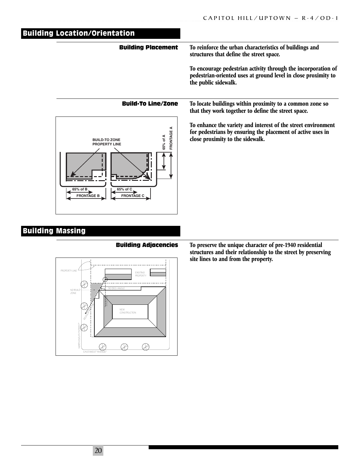| <b>Building Location/Orientation</b>                                                           |                                                                                                                                                                  |
|------------------------------------------------------------------------------------------------|------------------------------------------------------------------------------------------------------------------------------------------------------------------|
| <b>Building Placement</b>                                                                      | To reinforce the urban characteristics of buildings and<br>structures that define the street space.                                                              |
|                                                                                                | To encourage pedestrian activity through the incorporation of<br>pedestrian-oriented uses at ground level in close proximity to<br>the public sidewalk.          |
| <b>Build-To Line/Zone</b>                                                                      | To locate buildings within proximity to a common zone so<br>that they work together to define the street space.                                                  |
| FRONTAGE A<br>65% of A<br><b>BUILD-TO ZONE</b><br><b>PROPERTY LINE</b><br>65% of C<br>65% of B | To enhance the variety and interest of the street environment<br>for pedestrians by ensuring the placement of active uses in<br>close proximity to the sidewalk. |

## Building Massing

#### Building Adjacencies



**To preserve the unique character of pre-1940 residential structures and their relationship to the street by preserving site lines to and from the property.**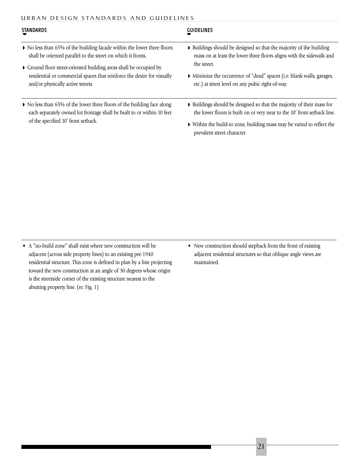#### URBAN DESIGN STANDARDS AND GUIDELINES

| <b>STANDARDS</b>                                                                                                                                  | <b>GUIDELINES</b>                                                                                                                                 |  |  |  |  |  |  |
|---------------------------------------------------------------------------------------------------------------------------------------------------|---------------------------------------------------------------------------------------------------------------------------------------------------|--|--|--|--|--|--|
| • No less than 65% of the building facade within the lower three floors<br>shall be oriented parallel to the street on which it fronts.           | • Buildings should be designed so that the majority of the building<br>mass on at least the lower three floors aligns with the sidewalk and       |  |  |  |  |  |  |
| Ground floor street-oriented building areas shall be occupied by                                                                                  | the street.                                                                                                                                       |  |  |  |  |  |  |
| residential or commercial spaces that reinforce the desire for visually<br>and/or physically active streets.                                      | • Minimize the occurrence of "dead" spaces (i.e. blank walls, garages,<br>etc.) at street level on any pubic right-of-way.                        |  |  |  |  |  |  |
| • No less than 65% of the lower three floors of the building face along<br>each separately owned lot frontage shall be built to or within 10 feet | • Buildings should be designed so that the majority of their mass for<br>the lower floors is built on or very near to the 10' front setback line. |  |  |  |  |  |  |
| of the specified 10' front setback.                                                                                                               | • Within the build-to zone, building mass may be varied to reflect the<br>prevalent street character.                                             |  |  |  |  |  |  |
|                                                                                                                                                   |                                                                                                                                                   |  |  |  |  |  |  |

• A "no-build zone" shall exist where new construction will be adjacent (across side property lines) to an existing pre-1940 residential structure. This zone is defined in plan by a line projecting toward the new construction at an angle of 30 degrees whose origin is the streetside corner of the existing structure nearest to the abutting property line. (re: Fig. 1)

• New construction should stepback from the front of existing adjacent residential structures so that oblique angle views are maintained.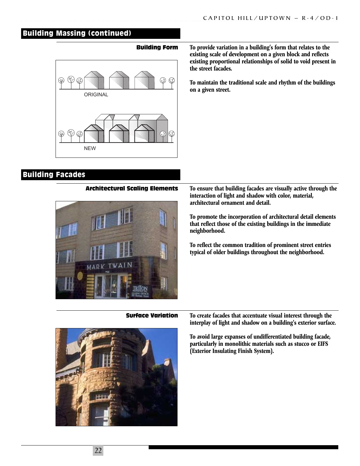### Building Massing (continued)

#### Building Form



#### **To provide variation in a building's form that relates to the existing scale of development on a given block and reflects existing proportional relationships of solid to void present in the street facades.**

**To maintain the traditional scale and rhythm of the buildings on a given street.**

### Building Facades

#### Architectural Scaling Elements



**To ensure that building facades are visually active through the interaction of light and shadow with color, material, architectural ornament and detail.**

**To promote the incorporation of architectural detail elements that reflect those of the existing buildings in the immediate neighborhood.**

**To reflect the common tradition of prominent street entries typical of older buildings throughout the neighborhood.**

Surface Variation



**To create facades that accentuate visual interest through the interplay of light and shadow on a building's exterior surface.**

**To avoid large expanses of undifferentiated building facade, particularly in monolithic materials such as stucco or EIFS (Exterior Insulating Finish System).**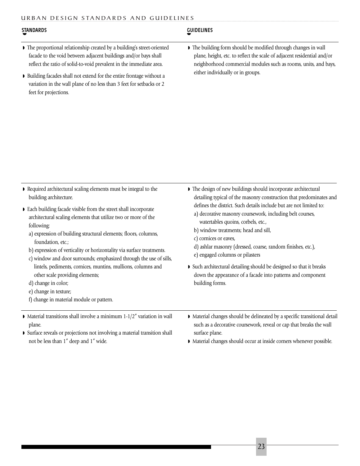#### URBAN DESIGN STANDARDS AND GUIDELINES

| <b>STANDARDS</b>                                                                                                                                                                                                                                                                           | <b>GUIDELINES</b>                                                                                                                                                                                                                                 |
|--------------------------------------------------------------------------------------------------------------------------------------------------------------------------------------------------------------------------------------------------------------------------------------------|---------------------------------------------------------------------------------------------------------------------------------------------------------------------------------------------------------------------------------------------------|
| • The proportional relationship created by a building's street-oriented<br>facade to the void between adjacent buildings and/or bays shall<br>reflect the ratio of solid-to-void prevalent in the immediate area.<br>• Building facades shall not extend for the entire frontage without a | • The building form should be modified through changes in wall<br>plane, height, etc. to reflect the scale of adjacent residential and/or<br>neighborhood commercial modules such as rooms, units, and bays,<br>either individually or in groups. |
| variation in the wall plane of no less than 3 feet for setbacks or 2<br>feet for projections.                                                                                                                                                                                              |                                                                                                                                                                                                                                                   |

| Required architectural scaling elements must be integral to the |
|-----------------------------------------------------------------|
| building architecture.                                          |

- ◗ Each building facade visible from the street shall incorporate architectural scaling elements that utilize two or more of the following:
	- a) expression of building structural elements; floors, columns, foundation, etc.;
	- b) expression of verticality or horizontality via surface treatments.
	- c) window and door surrounds; emphasized through the use of sills, lintels, pediments, cornices, muntins, mullions, columns and other scale providing elements;
	- d) change in color;
	- e) change in texture;
	- f) change in material module or pattern.
- $\triangleright$  Material transitions shall involve a minimum 1-1/2" variation in wall plane.
- ◗ Surface reveals or projections not involving a material transition shall not be less than 1" deep and 1" wide.
- ◗ The design of new buildings should incorporate architectural detailing typical of the masonry construction that predominates and defines the district. Such details include but are not limited to:
	- a) decorative masonry coursework, including belt courses, watertables quoins, corbels, etc.,
	- b) window treatments; head and sill,
	- c) cornices or eaves,
	- d) ashlar masonry (dressed, coarse, random finishes, etc.),
	- e) engaged columns or pilasters
- ◗ Such architectural detailing should be designed so that it breaks down the appearance of a facade into patterns and component building forms.
- ◗ Material changes should be delineated by a specific transitional detail such as a decorative coursework, reveal or cap that breaks the wall surface plane.
- ◗ Material changes should occur at inside corners whenever possible.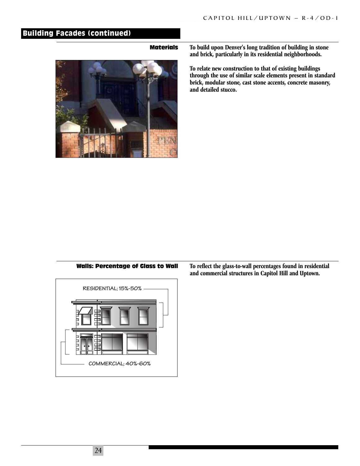### Building Facades (continued)

#### Materials



**To build upon Denver's long tradition of building in stone and brick, particularly in its residential neighborhoods.**

**To relate new construction to that of existing buildings through the use of similar scale elements present in standard brick, modular stone, cast stone accents, concrete masonry, and detailed stucco.**

#### Walls: Percentage of Glass to Wall



**To reflect the glass-to-wall percentages found in residential and commercial structures in Capitol Hill and Uptown.**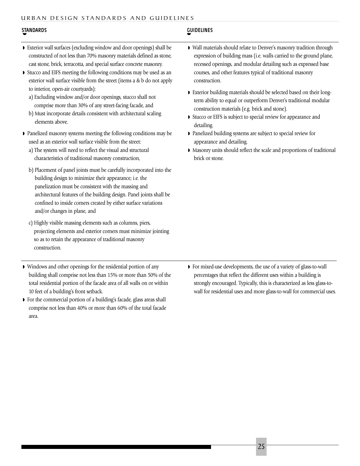#### URBAN DESIGN STANDARDS AND GUIDELINES

#### STANDARDS GUIDELINES ◗

#### ◗

- ◗ Exterior wall surfaces (excluding window and door openings) shall be constructed of not less than 70% masonry materials defined as stone, cast stone, brick, terracotta, and special surface concrete masonry.
- ◗ Stucco and EIFS meeting the following conditions may be used as an exterior wall surface visible from the street (items a & b do not apply to interior, open-air courtyards):
	- a) Excluding window and/or door openings, stucco shall not comprise more than 30% of any street-facing facade, and
	- b) Must incorporate details consistent with architectural scaling elements above.
- ◗ Panelized masonry systems meeting the following conditions may be used as an exterior wall surface visible from the street:
	- a) The system will need to reflect the visual and structural characteristics of traditional masonry construction,
	- b) Placement of panel joints must be carefully incorporated into the building design to minimize their appearance; i.e. the panelization must be consistent with the massing and architectural features of the building design. Panel joints shall be confined to inside corners created by either surface variations and/or changes in plane, and
	- c) Highly visible massing elements such as columns, piers, projecting elements and exterior corners must minimize jointing so as to retain the appearance of traditional masonry construction.
- ◗ Windows and other openings for the residential portion of any building shall comprise not less than 15% or more than 50% of the total residential portion of the facade area of all walls on or within 10 feet of a building's front setback.
- ◗ For the commercial portion of a building's facade, glass areas shall comprise not less than 40% or more than 60% of the total facade area.
- ◗ Wall materials should relate to Denver's masonry tradition through expression of building mass (i.e. walls carried to the ground plane, recessed openings, and modular detailing such as expressed base courses, and other features typical of traditional masonry construction.
- ◗ Exterior building materials should be selected based on their longterm ability to equal or outperform Denver's traditional modular construction materials (e.g. brick and stone).
- ◗ Stucco or EIFS is subject to special review for appearance and detailing.
- ◗ Panelized building systems are subject to special review for appearance and detailing.
- ◗ Masonry units should reflect the scale and proportions of traditional brick or stone.

◗ For mixed-use developments, the use of a variety of glass-to-wall percentages that reflect the different uses within a building is strongly encouraged. Typically, this is characterized as less glass-towall for residential uses and more glass-to-wall for commercial uses.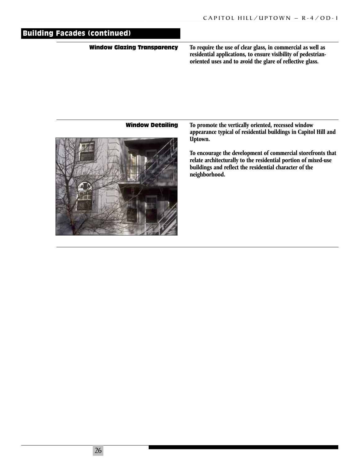# Building Facades (continued)

#### Window Glazing Transparency

**To require the use of clear glass, in commercial as well as residential applications, to ensure visibility of pedestrianoriented uses and to avoid the glare of reflective glass.**

#### Window Detailing



**To promote the vertically oriented, recessed window appearance typical of residential buildings in Capitol Hill and Uptown.**

**To encourage the development of commercial storefronts that relate architecturally to the residential portion of mixed-use buildings and reflect the residential character of the neighborhood.**